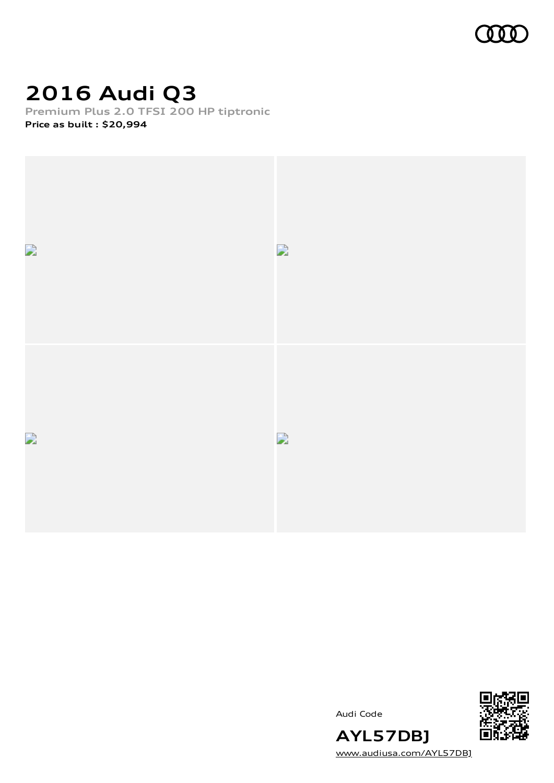

# **2016 Audi Q3**

**Premium Plus 2.0 TFSI 200 HP tiptronic Price as built [:](#page-9-0) \$20,994**



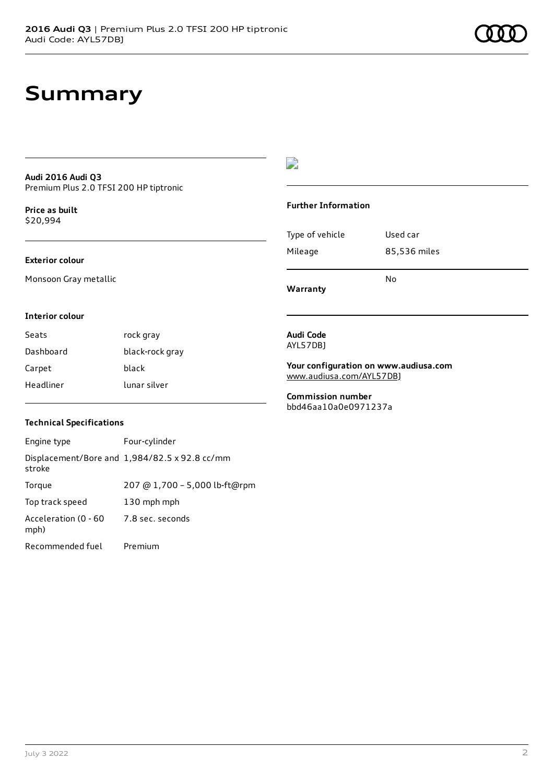#### **Audi 2016 Audi Q3** Premium Plus 2.0 TFSI 200 HP tiptronic

**Price as buil[t](#page-9-0)** \$20,994

### **Exterior colour**

Monsoon Gray metallic

### $\overline{\phantom{a}}$

### **Further Information**

|                 | N٥           |
|-----------------|--------------|
| Mileage         | 85,536 miles |
| Type of vehicle | Used car     |

**Warranty**

### **Interior colour**

| Seats     | rock gray       |
|-----------|-----------------|
| Dashboard | black-rock gray |
| Carpet    | black           |
| Headliner | lunar silver    |

#### **Audi Code** AYL57DBJ

**Your configuration on www.audiusa.com** [www.audiusa.com/AYL57DBJ](https://www.audiusa.com/AYL57DBJ)

**Commission number** bbd46aa10a0e0971237a

### **Technical Specifications**

| Engine type                  | Four-cylinder                                 |
|------------------------------|-----------------------------------------------|
| stroke                       | Displacement/Bore and 1,984/82.5 x 92.8 cc/mm |
| Torque                       | 207 @ 1,700 - 5,000 lb-ft@rpm                 |
| Top track speed              | 130 mph mph                                   |
| Acceleration (0 - 60<br>mph) | 7.8 sec. seconds                              |
| Recommended fuel             | Premium                                       |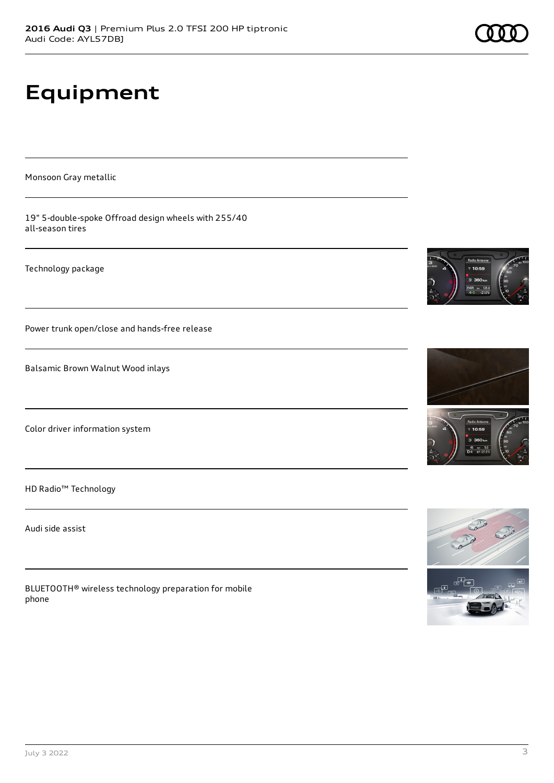# **Equipment**

Monsoon Gray metallic

19" 5-double-spoke Offroad design wheels with 255/40 all-season tires

Technology package

Power trunk open/close and hands-free release

Balsamic Brown Walnut Wood inlays

Color driver information system

HD Radio™ Technology

Audi side assist

BLUETOOTH® wireless technology preparation for mobile phone







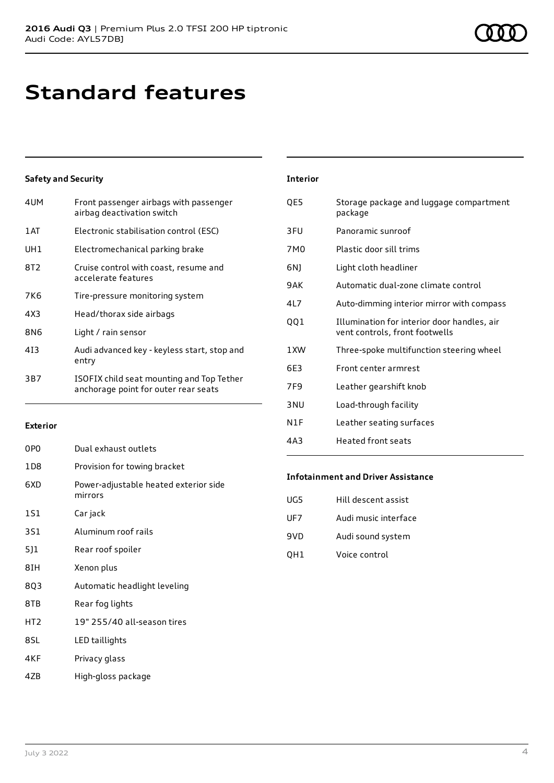### **Standard features**

### **Safety and Security**

**Exterior**

| 4UM  | Front passenger airbags with passenger<br>airbag deactivation switch              |
|------|-----------------------------------------------------------------------------------|
| 1 AT | Electronic stabilisation control (ESC)                                            |
| UH1  | Electromechanical parking brake                                                   |
| 8T2  | Cruise control with coast, resume and<br>accelerate features                      |
| 7K6  | Tire-pressure monitoring system                                                   |
| 4X3  | Head/thorax side airbags                                                          |
| 8N6  | Light / rain sensor                                                               |
| 413  | Audi advanced key - keyless start, stop and<br>entry                              |
| 3B7  | ISOFIX child seat mounting and Top Tether<br>anchorage point for outer rear seats |

| <b>Interior</b> |                                                                               |
|-----------------|-------------------------------------------------------------------------------|
| QE5             | Storage package and luggage compartment<br>package                            |
| 3FU             | Panoramic sunroof                                                             |
| 7M0             | Plastic door sill trims                                                       |
| 6N)             | Light cloth headliner                                                         |
| 9AK             | Automatic dual-zone climate control                                           |
| 417             | Auto-dimming interior mirror with compass                                     |
| QQ1             | Illumination for interior door handles, air<br>vent controls, front footwells |
| 1 XW            | Three-spoke multifunction steering wheel                                      |
| 6F3             | Front center armrest                                                          |
| 7F9             | Leather gearshift knob                                                        |
| 3 <sub>NU</sub> | Load-through facility                                                         |
| N1F             | Leather seating surfaces                                                      |

### 4A3 Heated front seats

### **Infotainment and Driver Assistance**

| UG5 | Hill descent assist  |
|-----|----------------------|
| UF7 | Audi music interface |
| 9VD | Audi sound system    |
| OH1 | Voice control        |

| 803 | Automatic headlight leveling |  |
|-----|------------------------------|--|
|     |                              |  |

0P0 Dual exhaust outlets

mirrors

3S1 Aluminum roof rails

5J1 Rear roof spoiler

1S1 Car jack

1D8 Provision for towing bracket

6XD Power-adjustable heated exterior side

8TB Rear fog lights

8IH Xenon plus

- HT2 19" 255/40 all-season tires
- 8SL LED taillights
- 4KF Privacy glass
- 4ZB High-gloss package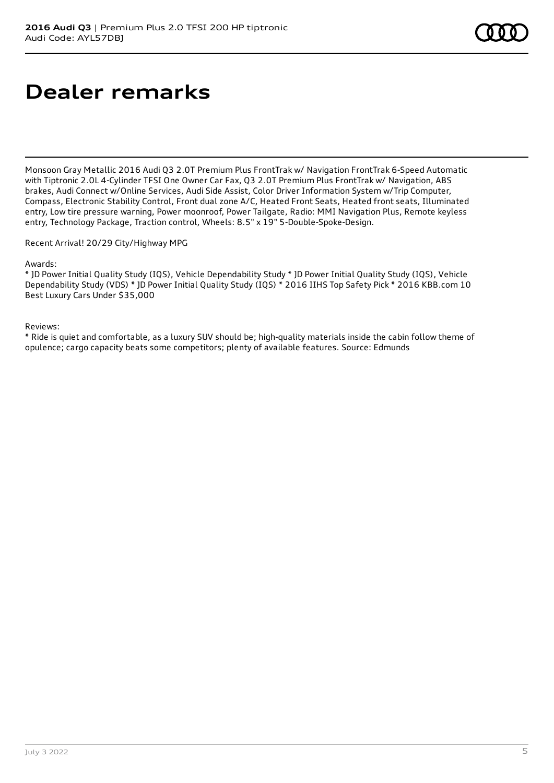# **Dealer remarks**

Monsoon Gray Metallic 2016 Audi Q3 2.0T Premium Plus FrontTrak w/ Navigation FrontTrak 6-Speed Automatic with Tiptronic 2.0L 4-Cylinder TFSI One Owner Car Fax, Q3 2.0T Premium Plus FrontTrak w/ Navigation, ABS brakes, Audi Connect w/Online Services, Audi Side Assist, Color Driver Information System w/Trip Computer, Compass, Electronic Stability Control, Front dual zone A/C, Heated Front Seats, Heated front seats, Illuminated entry, Low tire pressure warning, Power moonroof, Power Tailgate, Radio: MMI Navigation Plus, Remote keyless entry, Technology Package, Traction control, Wheels: 8.5" x 19" 5-Double-Spoke-Design.

Recent Arrival! 20/29 City/Highway MPG

Awards:

\* JD Power Initial Quality Study (IQS), Vehicle Dependability Study \* JD Power Initial Quality Study (IQS), Vehicle Dependability Study (VDS) \* JD Power Initial Quality Study (IQS) \* 2016 IIHS Top Safety Pick \* 2016 KBB.com 10 Best Luxury Cars Under \$35,000

Reviews:

\* Ride is quiet and comfortable, as a luxury SUV should be; high-quality materials inside the cabin follow theme of opulence; cargo capacity beats some competitors; plenty of available features. Source: Edmunds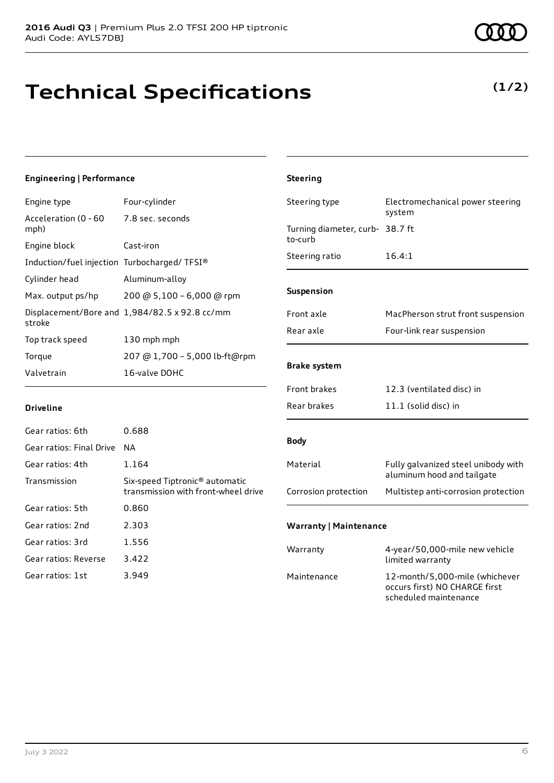# **Technical Specifications**

### **(1/2)**

### **Engineering | Performance**

| Four-cylinder                                 |
|-----------------------------------------------|
| Acceleration (0 - 60<br>7.8 sec. seconds      |
| Cast-iron                                     |
| Induction/fuel injection Turbocharged/TFSI®   |
| Aluminum-alloy                                |
| 200 @ 5,100 - 6,000 @ rpm                     |
| Displacement/Bore and 1,984/82.5 x 92.8 cc/mm |
| 130 mph mph                                   |
| 207 @ 1,700 - 5,000 lb-ft@rpm                 |
| 16-valve DOHC                                 |
|                                               |

| <b>Steering</b>                            |                                                                   |
|--------------------------------------------|-------------------------------------------------------------------|
| Steering type                              | Electromechanical power steering<br>system                        |
| Turning diameter, curb- 38.7 ft<br>to-curb |                                                                   |
| Steering ratio                             | 16.4:1                                                            |
| <b>Suspension</b>                          |                                                                   |
| Front axle                                 | MacPherson strut front suspension                                 |
| Rear axle                                  | Four-link rear suspension                                         |
| <b>Brake system</b>                        |                                                                   |
| <b>Front brakes</b>                        | 12.3 (ventilated disc) in                                         |
| Rear brakes                                | 11.1 (solid disc) in                                              |
| <b>Body</b>                                |                                                                   |
| Material                                   | Fully galvanized steel unibody with<br>aluminum hood and tailgate |
| Corrosion protection                       | Multistep anti-corrosion protection                               |
| <b>Warranty   Maintenance</b>              |                                                                   |
| Warranty                                   | 4-year/50,000-mile new vehicle<br>limited warranty                |
| Maintenance                                | 12-month/5,000-mile (whichever<br>occurs first) NO CHARGE first   |

scheduled maintenance

| Gear ratios: 6th         | 0.688                                                                             |
|--------------------------|-----------------------------------------------------------------------------------|
| Gear ratios: Final Drive | ΝA                                                                                |
| Gear ratios: 4th         | 1.164                                                                             |
| Transmission             | Six-speed Tiptronic <sup>®</sup> automatic<br>transmission with front-wheel drive |
| Gear ratios: 5th         | 0.860                                                                             |
| Gear ratios: 2nd         | 2.303                                                                             |
| Gear ratios: 3rd         | 1.556                                                                             |
| Gear ratios: Reverse     | 3.422                                                                             |
| Gear ratios: 1st         | 3.949                                                                             |
|                          |                                                                                   |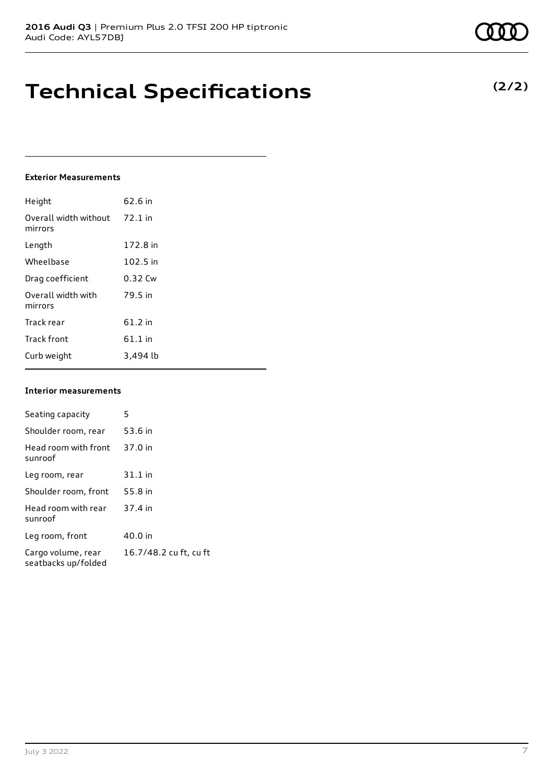### **Technical Specifications**

### **Exterior Measurements**

| Height                           | 62.6 in   |
|----------------------------------|-----------|
| Overall width without<br>mirrors | $72.1$ in |
| Length                           | 172.8 in  |
| Wheelbase                        | 102.5 in  |
| Drag coefficient                 | 0.32 Cw   |
| Overall width with<br>mirrors    | 79.5 in   |
| Track rear                       | 61.2 in   |
| <b>Track front</b>               | 61.1 in   |
| Curb weight                      | 3.494 lb  |

#### **Interior measurements**

| Seating capacity                          | 5                      |
|-------------------------------------------|------------------------|
| Shoulder room, rear                       | 53.6 in                |
| Head room with front<br>sunroof           | 37.0 in                |
| Leg room, rear                            | $31.1$ in              |
| Shoulder room, front                      | 55.8 in                |
| Head room with rear<br>sunroof            | 37.4 in                |
| Leg room, front                           | 40.0 in                |
| Cargo volume, rear<br>seatbacks up/folded | 16.7/48.2 cu ft, cu ft |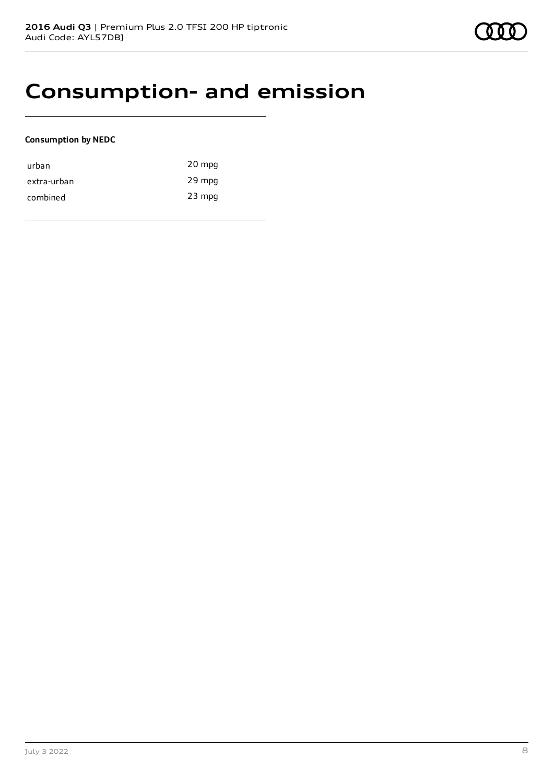### **Consumption- and emission**

### **Consumption by NEDC**

| urban       | 20 mpg   |
|-------------|----------|
| extra-urban | 29 mpg   |
| combined    | $23$ mpg |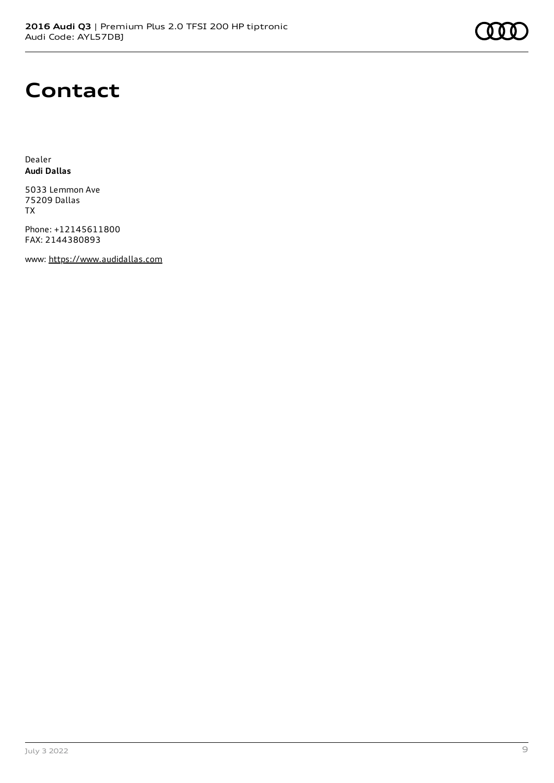# **Contact**

Dealer **Audi Dallas**

5033 Lemmon Ave 75209 Dallas TX

Phone: +12145611800 FAX: 2144380893

www: [https://www.audidallas.com](https://www.audidallas.com/)